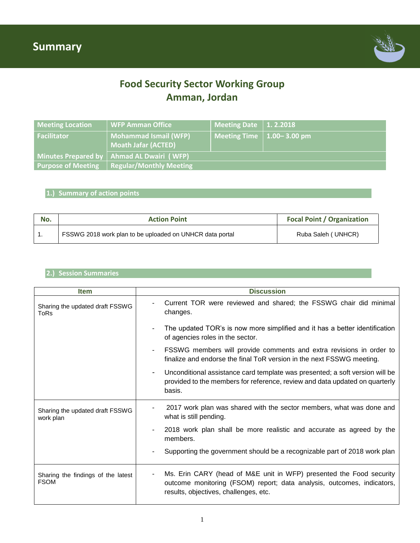

# **Food Security Sector Working Group Amman, Jordan**

| <b>Meeting Location</b> | WFP Amman Office                                           | Meeting Date $\vert$ 1.2.2018     |  |
|-------------------------|------------------------------------------------------------|-----------------------------------|--|
| <b>Facilitator</b>      | <b>Mohammad Ismail (WFP)</b><br><b>Moath Jafar (ACTED)</b> | Meeting Time $\vert$ 1.00–3.00 pm |  |
|                         | Minutes Prepared by   Ahmad AL Dwairi (WFP)                |                                   |  |
|                         | <b>Purpose of Meeting   Regular/Monthly Meeting</b>        |                                   |  |

### **1.) Summary of action points**

| No. | <b>Action Point</b>                                      | <b>Focal Point / Organization</b> |
|-----|----------------------------------------------------------|-----------------------------------|
|     | FSSWG 2018 work plan to be uploaded on UNHCR data portal | Ruba Saleh ( UNHCR)               |

## **2.) Session Summaries**

| <b>Item</b>                                       | <b>Discussion</b>                                                                                                                                                                                        |  |  |
|---------------------------------------------------|----------------------------------------------------------------------------------------------------------------------------------------------------------------------------------------------------------|--|--|
| Sharing the updated draft FSSWG<br>ToRs           | Current TOR were reviewed and shared; the FSSWG chair did minimal<br>changes.                                                                                                                            |  |  |
|                                                   | The updated TOR's is now more simplified and it has a better identification<br>of agencies roles in the sector.                                                                                          |  |  |
|                                                   | FSSWG members will provide comments and extra revisions in order to<br>$\blacksquare$<br>finalize and endorse the final ToR version in the next FSSWG meeting.                                           |  |  |
|                                                   | Unconditional assistance card template was presented; a soft version will be<br>provided to the members for reference, review and data updated on quarterly<br>basis.                                    |  |  |
| Sharing the updated draft FSSWG<br>work plan      | 2017 work plan was shared with the sector members, what was done and<br>-<br>what is still pending.                                                                                                      |  |  |
|                                                   | 2018 work plan shall be more realistic and accurate as agreed by the<br>members.                                                                                                                         |  |  |
|                                                   | Supporting the government should be a recognizable part of 2018 work plan                                                                                                                                |  |  |
| Sharing the findings of the latest<br><b>FSOM</b> | Ms. Erin CARY (head of M&E unit in WFP) presented the Food security<br>$\blacksquare$<br>outcome monitoring (FSOM) report; data analysis, outcomes, indicators,<br>results, objectives, challenges, etc. |  |  |